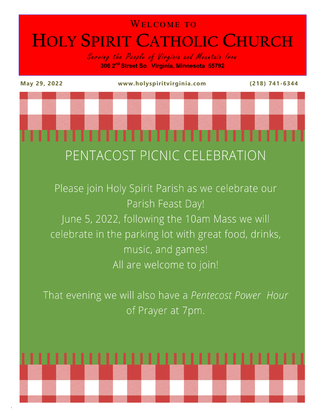### WELCOME TO **HOLY SPIRIT CATHOLIC CHURCH**

Serving the People of Virginia and Mountain Iron **306 2nd Street So. Virginia, Minnesota 55792**

.

**May 29, 2022 www.holyspiritvirginia.com (218) 741-6344**

# ,,,,,,,,, PENTACOST PICNIC CELEBRATION

Please join Holy Spirit Parish as we celebrate our Parish Feast Day! June 5, 2022, following the 10am Mass we will celebrate in the parking lot with great food, drinks, music, and games! All are welcome to join!

That evening we will also have a Pentecost Power Hour of Prayer at 7pm.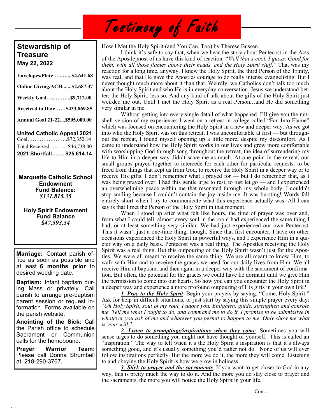## Testimony of Faith

### **Stewardship of Treasure May 22, 2022**

| Envelopes/Plate \$4,641.68         |  |
|------------------------------------|--|
| Online Giving/ACH\$2,687.37        |  |
| <b>Weekly Goal\$9,712.00</b>       |  |
| Received to Date\$433,869.85       |  |
| Annual Goal 21-22\$505,000.00      |  |
| <b>United Catholic Appeal 2021</b> |  |
| Goal\$72,352.14                    |  |
| Total Received\$46,738.00          |  |
| 2021 Shortfall \$25,614.14         |  |

**Marquette Catholic School Endowment Fund Balance:** *\$131,815.35*

**Holy Spirit Endowment Fund Balance** *\$47,593.54*

**Marriage:** Contact parish office as soon as possible and at least **6 months prior** to desired wedding date.

**Baptism:** Infant baptism during Mass or privately. Call parish to arrange pre-baptism parent session or request information. Forms available on the parish website.

**Anointing of the Sick:** Call the Parish office to schedule Sacrament or Communion calls for the homebound.

**Prayer Warrior Team:**  Please call Donna Strumbell at 218-290-3767.

.

### How I Met the Holy Spirit (and You Can, Too) by Therese Bussen

I think it's safe to say that, when we hear the story about Pentecost in the Acts of the Apostle most of us have this kind of reaction: "*Well that's cool, I guess. Good for them, with all those flames above their heads, and the Holy Spirit stuff."* That was my reaction for a long time, anyway. I knew the Holy Spirit, the third Person of the Trinity, was real, and that He gave the Apostles courage to do really intense evangelizing. But I never thought much more about it than that. Weirdly, we Catholics don't talk too much about the Holy Spirit and who He is in everyday conversation. Jesus we understand better; the Holy Spirit, less so. And any kind of talk about the gifts of the Holy Spirit just weirded me out. Until I met the Holy Spirit as a real Person…and He did something very similar in me.

Without getting into every single detail of what happened, I'll give you the nutshell version of my experience: I went on a retreat in college called "Fan Into Flame" which was focused on encountering the Holy Spirit in a new and deeper way. As we got into who the Holy Spirit was on this retreat, I was uncomfortable at first — but throughout the retreat, I found myself opening up a little more, despite my discomfort. As I came to understand how the Holy Spirit works in our lives and grew more comfortable with worshipping God through song throughout the retreat, the idea of surrendering my life to Him in a deeper way didn't scare me as much. At one point in the retreat, our small groups prayed together to intercede for each other for particular requests: to be freed from things that kept us from God, to receive the Holy Spirit in a deeper way or to receive His gifts. I don't remember what I prayed for — but I do remember that, as I was being prayed over, I had this gentle urge to rest, to just let go — and I experienced an overwhelming peace within me that resonated through my whole body. I couldn't stop smiling because I couldn't contain the joy inside me. It was bursting! Words fall entirely short when I try to communicate what this experience actually was. All I can say is that I met the Person of the Holy Spirit in that moment.

When I stood up after what felt like hours, the time of prayer was over and, from what I could tell, almost every soul in the room had experienced the same thing I had, or at least something very similar. We had just experienced our own Pentecost. This it wasn't just a one-time thing, though. Since that first encounter, I have on other occasions experienced the Holy Spirit in powerful ways, and I experience Him in a quieter way on a daily basis. Pentecost was a real thing. The Apostles receiving the Holy Spirit was a real thing. But this outpouring of the Holy Spirit wasn't just for the Apostles. We were all meant to receive the same thing. We are all meant to know Him, to walk with Him and to receive the graces we need for our daily lives from Him. We all receive Him at baptism, and then again in a deeper way with the sacrament of confirmation. But often, the potential for the graces we could have lie dormant until we give Him the permission to come into our hearts. So how you can you encounter the Holy Spirit in a deeper way and experience a more profound outpouring of His gifts in your own life?

*1. Pray to the Holy Spirit*. Begin your prayers by saying, "Come, Holy Spirit." Ask for help in difficult situations, or just start by saying this simple prayer every day: "*Oh Holy Spirit, soul of my soul, I adore you. Enlighten, guide, strengthen and console me. Tell me what I ought to do, and command me to do it. I promise to be submissive in whatever you ask of me and whatever you permit to happen to me. Only show me what is your will.*"

*2. Listen to promptings/inspirations when they come*. Sometimes you will sense urges to do something you might not have thought of yourself. This is called an "inspiration." The way to tell when it's the Holy Spirit's inspiration is that it's always something good, and it's usually something you'd rather not do. None of us will ever follow inspirations perfectly. But the more we do it, the more they will come. Listening to and obeying the Holy Spirit is how we grow in holiness.

*3. Stick to prayer and the sacraments*. If you want to get closer to God in any way, this is pretty much the way to do it. And the more you do stay close to prayer and the sacraments, the more you will notice the Holy Spirit in your life.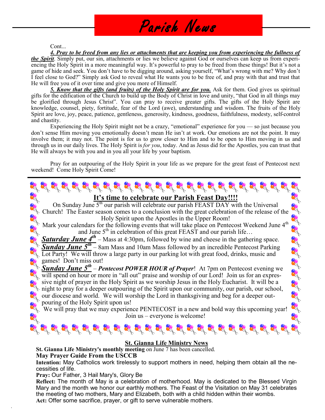### Parish News

#### Cont...

*4. Pray to be freed from any lies or attachments that are keeping you from experiencing the fullness of the Spirit*. Simply put, our sin, attachments or lies we believe against God or ourselves can keep us from experiencing the Holy Spirit in a more meaningful way. It's powerful to pray to be freed from these things! But it's not a game of hide and seek. You don't have to be digging around, asking yourself, "What's wrong with me? Why don't I feel close to God?" Simply ask God to reveal what He wants you to be free of, and pray with that and trust that He will free you of it over time and give you more of Himself.

*5. Know that the gifts (and fruits) of the Holy Spirit are for you.* Ask for them. God gives us spiritual gifts for the edification of the Church to build up the Body of Christ in love and unity, "that God in all things may be glorified through Jesus Christ". You can pray to receive greater gifts. The gifts of the Holy Spirit are knowledge, counsel, piety, fortitude, fear of the Lord (awe), understanding and wisdom. The fruits of the Holy Spirit are love, joy, peace, patience, gentleness, generosity, kindness, goodness, faithfulness, modesty, self-control and chastity.

Experiencing the Holy Spirit might not be a crazy, "emotional" experience for you — so just because you don't sense Him moving you emotionally doesn't mean He isn't at work. Our emotions are not the point. It may involve them; it may not. The point is for us to grow closer to Him and to be open to Him moving in us and through us in our daily lives. The Holy Spirit is *for you*, today. And as Jesus did for the Apostles, you can trust that He will always be with you and in you all your life by your baptism.

Pray for an outpouring of the Holy Spirit in your life as we prepare for the great feast of Pentecost next weekend! Come Holy Spirit Come!



### **St. Gianna Life Ministry News**

**St. Gianna Life Ministry's monthly meeting** on June 7 has been cancelled.

**May Prayer Guide From the USCCB**

**Intention:** May Catholics work tirelessly to support mothers in need, helping them obtain all the necessities of life.

**Pray:** Our Father, 3 Hail Mary's, Glory Be

.

**Reflect:** The month of May is a celebration of motherhood. May is dedicated to the Blessed Virgin Mary and the month we honor our earthly mothers. The Feast of the Visitation on May 31 celebrates the meeting of two mothers, Mary and Elizabeth, both with a child hidden within their wombs. **Act:** Offer some sacrifice, prayer, or gift to serve vulnerable mothers.